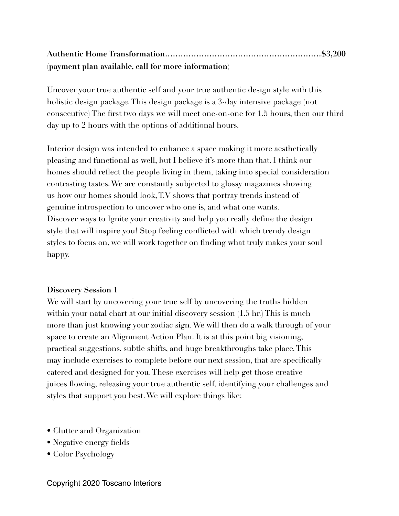# **Authentic Home Transformation……………………………………………………\$3,200 (payment plan available, call for more information)**

Uncover your true authentic self and your true authentic design style with this holistic design package. This design package is a 3-day intensive package (not consecutive) The first two days we will meet one-on-one for 1.5 hours, then our third day up to 2 hours with the options of additional hours.

Interior design was intended to enhance a space making it more aesthetically pleasing and functional as well, but I believe it's more than that. I think our homes should reflect the people living in them, taking into special consideration contrasting tastes. We are constantly subjected to glossy magazines showing us how our homes should look, T.V shows that portray trends instead of genuine introspection to uncover who one is, and what one wants. Discover ways to Ignite your creativity and help you really define the design style that will inspire you! Stop feeling conflicted with which trendy design styles to focus on, we will work together on finding what truly makes your soul happy.

### **Discovery Session 1**

We will start by uncovering your true self by uncovering the truths hidden within your natal chart at our initial discovery session (1.5 hr.) This is much more than just knowing your zodiac sign. We will then do a walk through of your space to create an Alignment Action Plan. It is at this point big visioning, practical suggestions, subtle shifts, and huge breakthroughs take place. This may include exercises to complete before our next session, that are specifically catered and designed for you. These exercises will help get those creative juices flowing, releasing your true authentic self, identifying your challenges and styles that support you best. We will explore things like:

- Clutter and Organization
- Negative energy fields
- Color Psychology

Copyright 2020 Toscano Interiors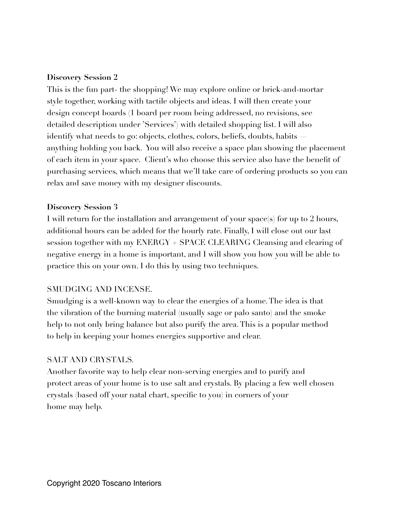### **Discovery Session 2**

This is the fun part- the shopping! We may explore online or brick-and-mortar style together, working with tactile objects and ideas. I will then create your design concept boards (1 board per room being addressed, no revisions, see detailed description under 'Services') with detailed shopping list. I will also identify what needs to go: objects, clothes, colors, beliefs, doubts, habits anything holding you back. You will also receive a space plan showing the placement of each item in your space. Client's who choose this service also have the benefit of purchasing services, which means that we'll take care of ordering products so you can relax and save money with my designer discounts.

## **Discovery Session 3**

I will return for the installation and arrangement of your space(s) for up to 2 hours, additional hours can be added for the hourly rate. Finally, I will close out our last session together with my ENERGY + SPACE CLEARING Cleansing and clearing of negative energy in a home is important, and I will show you how you will be able to practice this on your own. I do this by using two techniques.

# SMUDGING AND INCENSE.

Smudging is a well-known way to clear the energies of a home. The idea is that the vibration of the burning material (usually sage or palo santo) and the smoke help to not only bring balance but also purify the area. This is a popular method to help in keeping your homes energies supportive and clear.

# SALT AND CRYSTALS.

Another favorite way to help clear non-serving energies and to purify and protect areas of your home is to use salt and crystals. By placing a few well chosen crystals (based off your natal chart, specific to you) in corners of your home may help.